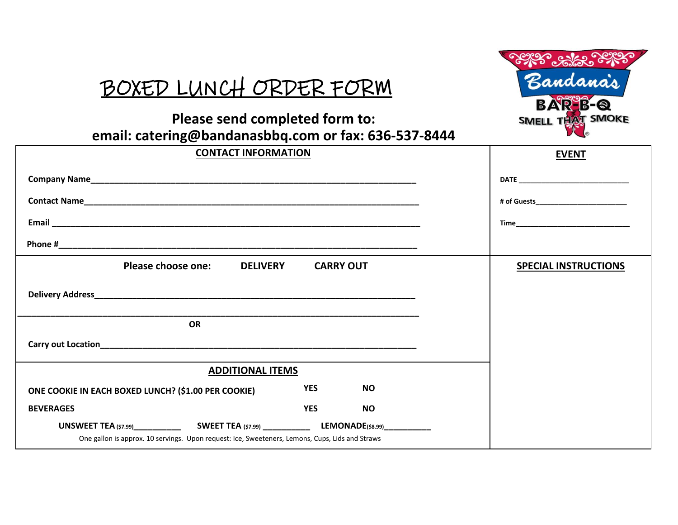## BOXED LUNCH ORDER FORM



## **email: catering@bandanasbbq.com or fax: 636-537-8444 Please send completed form to:**

| <b>CONTACT INFORMATION</b>                                                                      | <b>EVENT</b>                |           |  |
|-------------------------------------------------------------------------------------------------|-----------------------------|-----------|--|
|                                                                                                 |                             |           |  |
|                                                                                                 |                             |           |  |
|                                                                                                 |                             |           |  |
|                                                                                                 |                             |           |  |
| <b>DELIVERY</b><br>Please choose one:                                                           | <b>SPECIAL INSTRUCTIONS</b> |           |  |
|                                                                                                 |                             |           |  |
| <b>OR</b>                                                                                       |                             |           |  |
|                                                                                                 |                             |           |  |
| <b>ADDITIONAL ITEMS</b>                                                                         |                             |           |  |
| ONE COOKIE IN EACH BOXED LUNCH? (\$1.00 PER COOKIE)                                             | <b>YES</b>                  | <b>NO</b> |  |
| <b>BEVERAGES</b>                                                                                | <b>YES</b>                  | <b>NO</b> |  |
| One gallon is approx. 10 servings. Upon request: Ice, Sweeteners, Lemons, Cups, Lids and Straws |                             |           |  |